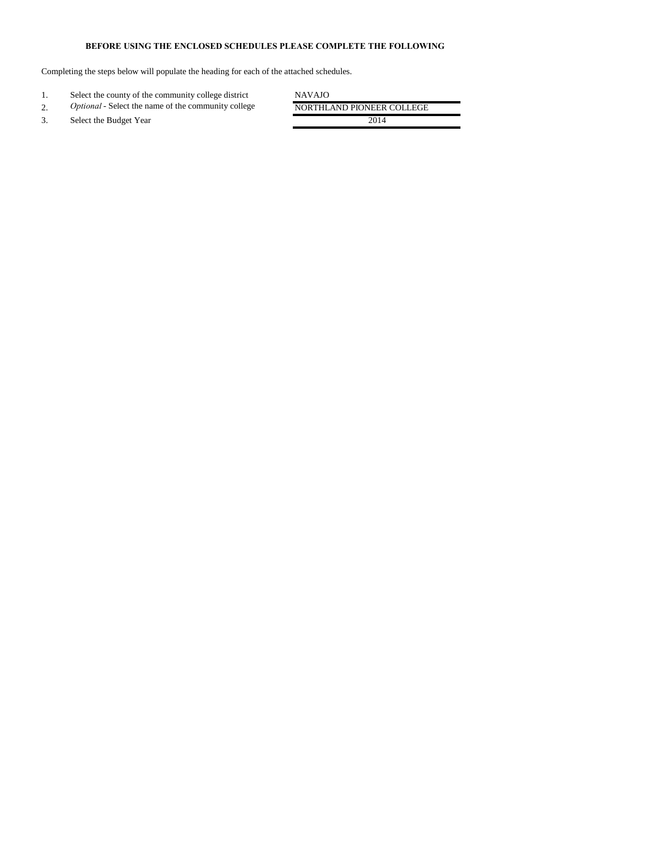## **BEFORE USING THE ENCLOSED SCHEDULES PLEASE COMPLETE THE FOLLOWING**

Completing the steps below will populate the heading for each of the attached schedules.

| Select the county of the community college district        | <b>NAVAJO</b>             |
|------------------------------------------------------------|---------------------------|
| <i>Optional</i> - Select the name of the community college | NORTHLAND PIONEER COLLEGE |
| Select the Budget Year                                     | 2014                      |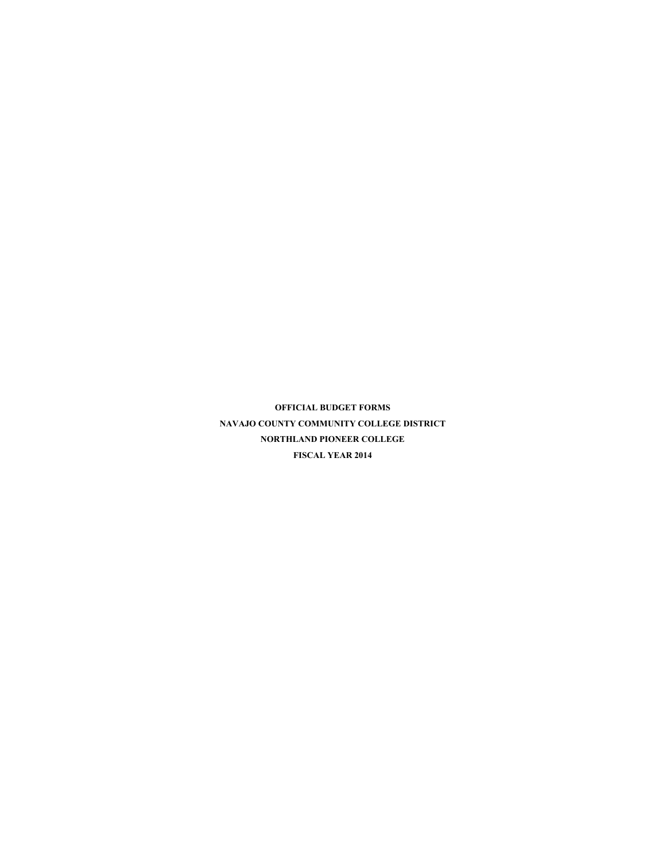**OFFICIAL BUDGET FORMS NAVAJO COUNTY COMMUNITY COLLEGE DISTRICT NORTHLAND PIONEER COLLEGE FISCAL YEAR 2014**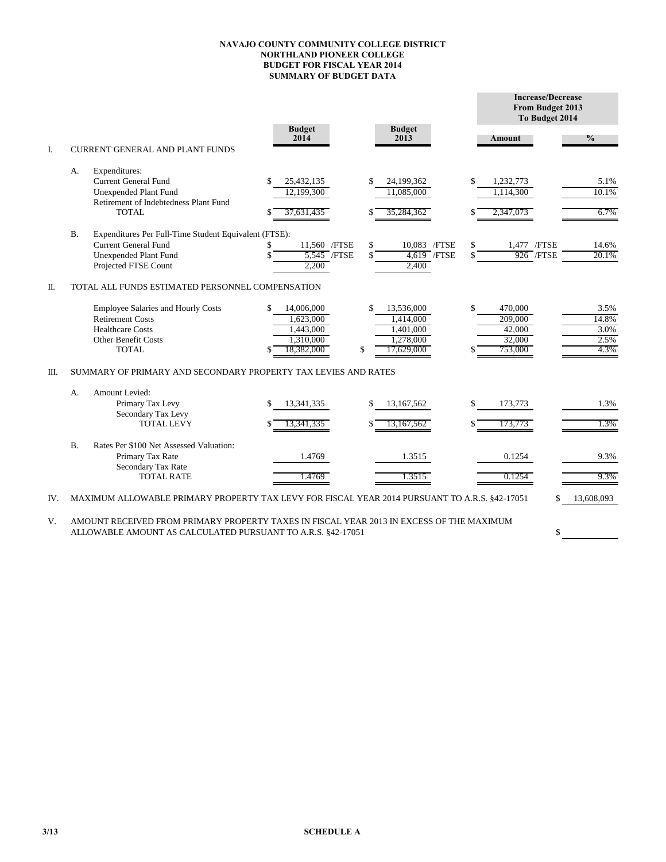## **NAVAJO COUNTY COMMUNITY COLLEGE DISTRICT NORTHLAND PIONEER COLLEGE BUDGET FOR FISCAL YEAR 2014 SUMMARY OF BUDGET DATA**

|     |           |                                                                                                                                        |                                                                       |                                                                             |          | <b>Increase/Decrease</b><br>From Budget 2013<br>To Budget 2014 |                                       |
|-----|-----------|----------------------------------------------------------------------------------------------------------------------------------------|-----------------------------------------------------------------------|-----------------------------------------------------------------------------|----------|----------------------------------------------------------------|---------------------------------------|
|     |           |                                                                                                                                        | <b>Budget</b><br>2014                                                 | <b>Budget</b><br>2013                                                       |          | Amount                                                         | $\frac{0}{0}$                         |
| I.  |           | CURRENT GENERAL AND PLANT FUNDS                                                                                                        |                                                                       |                                                                             |          |                                                                |                                       |
|     | А.        | Expenditures:<br><b>Current General Fund</b><br><b>Unexpended Plant Fund</b><br>Retirement of Indebtedness Plant Fund<br>TOTAL         | 25,432,135<br>12.199.300<br>37.631.435                                | \$<br>24,199,362<br>11,085,000<br>S<br>35,284,362                           |          | 1,232,773<br>1,114,300<br>2,347,073                            | 5.1%<br>10.1%<br>6.7%                 |
|     | <b>B.</b> | Expenditures Per Full-Time Student Equivalent (FTSE):<br><b>Current General Fund</b><br>Unexpended Plant Fund<br>Projected FTSE Count  | 11,560 /FTSE<br>5,545 / FTSE<br>2.200                                 | \$<br>10,083 /FTSE<br>4,619 / FTSE<br>\$<br>2,400                           | \$<br>\$ | 1,477 / FTSE<br>$926$ /FTSE                                    | 14.6%<br>20.1%                        |
| Π.  |           | TOTAL ALL FUNDS ESTIMATED PERSONNEL COMPENSATION                                                                                       |                                                                       |                                                                             |          |                                                                |                                       |
|     |           | Employee Salaries and Hourly Costs<br><b>Retirement Costs</b><br><b>Healthcare Costs</b><br><b>Other Benefit Costs</b><br><b>TOTAL</b> | 14,006,000<br>\$<br>1,623,000<br>1,443,000<br>1,310,000<br>18.382.000 | \$<br>13,536,000<br>1,414,000<br>1,401,000<br>1,278,000<br>\$<br>17,629,000 | \$       | 470,000<br>209,000<br>42,000<br>32,000<br>753,000              | 3.5%<br>14.8%<br>3.0%<br>2.5%<br>4.3% |
| Ш.  |           | SUMMARY OF PRIMARY AND SECONDARY PROPERTY TAX LEVIES AND RATES                                                                         |                                                                       |                                                                             |          |                                                                |                                       |
|     | А.        | <b>Amount Levied:</b><br>Primary Tax Levy<br>Secondary Tax Levy<br><b>TOTAL LEVY</b>                                                   | 13.341.335<br>13,341,335                                              | \$<br>13,167,562<br>S<br>13,167,562                                         | \$       | 173,773<br>173,773                                             | 1.3%<br>1.3%                          |
|     | B.        | Rates Per \$100 Net Assessed Valuation:<br>Primary Tax Rate<br>Secondary Tax Rate<br><b>TOTAL RATE</b>                                 | 1.4769<br>1.4769                                                      | 1.3515<br>1.3515                                                            |          | 0.1254<br>0.1254                                               | 9.3%<br>9.3%                          |
| IV. |           | MAXIMUM ALLOWABLE PRIMARY PROPERTY TAX LEVY FOR FISCAL YEAR 2014 PURSUANT TO A.R.S. §42-17051                                          |                                                                       |                                                                             |          |                                                                | 13,608,093                            |
|     |           |                                                                                                                                        |                                                                       |                                                                             |          |                                                                |                                       |

\$

V. AMOUNT RECEIVED FROM PRIMARY PROPERTY TAXES IN FISCAL YEAR 2013 IN EXCESS OF THE MAXIMUM ALLOWABLE AMOUNT AS CALCULATED PURSUANT TO A.R.S. §42-17051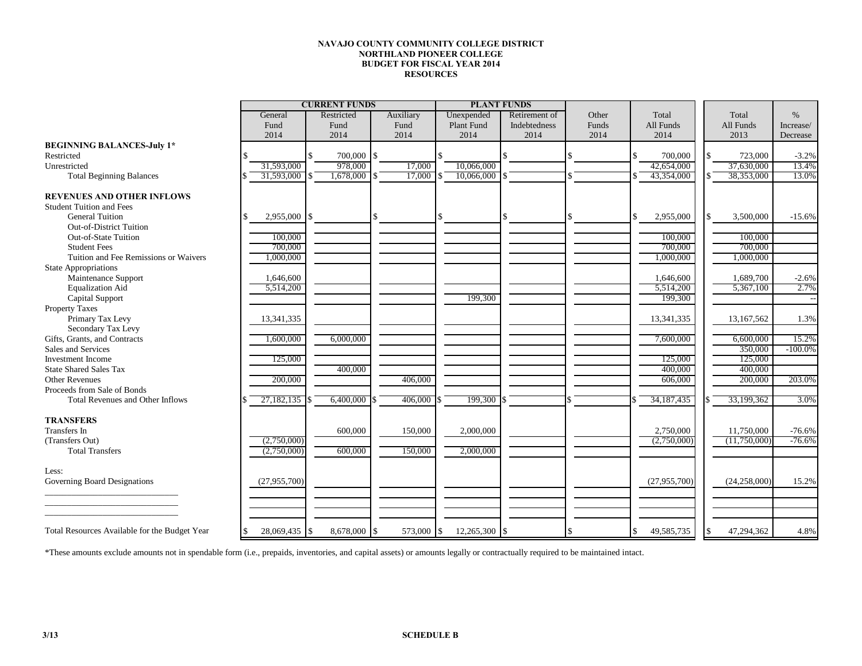## **NAVAJO COUNTY COMMUNITY COLLEGE DISTRICT NORTHLAND PIONEER COLLEGE BUDGET FOR FISCAL YEAR 2014 RESOURCES**

|                                               | <b>CURRENT FUNDS</b>  |  |                |  |            | <b>PLANT FUNDS</b> |               |               |       |       |                |       |                |            |
|-----------------------------------------------|-----------------------|--|----------------|--|------------|--------------------|---------------|---------------|-------|-------|----------------|-------|----------------|------------|
|                                               | Restricted<br>General |  | Auxiliary      |  |            | Unexpended         | Retirement of |               | Other | Total |                | Total | $\%$           |            |
|                                               | Fund                  |  | Fund           |  | Fund       |                    | Plant Fund    | Indebtedness  |       | Funds | All Funds      |       | All Funds      | Increase/  |
|                                               | 2014                  |  | 2014           |  | 2014       |                    | 2014          | 2014          |       | 2014  | 2014           |       | 2013           | Decrease   |
| <b>BEGINNING BALANCES-July 1*</b>             |                       |  |                |  |            |                    |               |               |       |       |                |       |                |            |
| Restricted                                    |                       |  | 700,000 \$     |  |            |                    |               |               |       |       | 700,000        |       | 723,000        | $-3.2%$    |
| Unrestricted                                  | 31,593,000            |  | 978,000        |  | 17,000     |                    | 10,066,000    |               |       |       | 42,654,000     |       | 37,630,000     | 13.4%      |
| <b>Total Beginning Balances</b>               | 31,593,000            |  | 1,678,000      |  | 17,000     |                    | 10,066,000    |               |       |       | 43,354,000     |       | 38,353,000     | 13.0%      |
|                                               |                       |  |                |  |            |                    |               |               |       |       |                |       |                |            |
| <b>REVENUES AND OTHER INFLOWS</b>             |                       |  |                |  |            |                    |               |               |       |       |                |       |                |            |
| <b>Student Tuition and Fees</b>               |                       |  |                |  |            |                    |               |               |       |       |                |       |                |            |
| <b>General Tuition</b>                        | \$<br>$2,955,000$ \$  |  |                |  |            | $\mathbf{\hat{S}}$ |               |               |       |       | 2,955,000      |       | 3,500,000      | $-15.6%$   |
| <b>Out-of-District Tuition</b>                |                       |  |                |  |            |                    |               |               |       |       |                |       |                |            |
| Out-of-State Tuition                          | 100,000               |  |                |  |            |                    |               |               |       |       | 100,000        |       | 100,000        |            |
| <b>Student Fees</b>                           | 700,000               |  |                |  |            |                    |               |               |       |       | 700,000        |       | 700,000        |            |
| Tuition and Fee Remissions or Waivers         | 1,000,000             |  |                |  |            |                    |               |               |       |       | 1,000,000      |       | 1,000,000      |            |
| <b>State Appropriations</b>                   |                       |  |                |  |            |                    |               |               |       |       |                |       |                |            |
| Maintenance Support                           | 1,646,600             |  |                |  |            |                    |               |               |       |       | 1,646,600      |       | 1,689,700      | $-2.6%$    |
| <b>Equalization Aid</b>                       | 5,514,200             |  |                |  |            |                    |               |               |       |       | 5,514,200      |       | 5,367,100      | 2.7%       |
| Capital Support                               |                       |  |                |  |            |                    | 199,300       |               |       |       | 199,300        |       |                |            |
| Property Taxes                                |                       |  |                |  |            |                    |               |               |       |       |                |       |                |            |
| Primary Tax Levy                              | 13,341,335            |  |                |  |            |                    |               |               |       |       | 13,341,335     |       | 13,167,562     | 1.3%       |
| Secondary Tax Levy                            |                       |  |                |  |            |                    |               |               |       |       |                |       |                |            |
| Gifts, Grants, and Contracts                  | 1,600,000             |  | 6,000,000      |  |            |                    |               |               |       |       | 7,600,000      |       | 6,600,000      | 15.2%      |
| Sales and Services                            |                       |  |                |  |            |                    |               |               |       |       |                |       | 350,000        | $-100.0\%$ |
| <b>Investment Income</b>                      | 125,000               |  |                |  |            |                    |               |               |       |       | 125,000        |       | 125,000        |            |
| <b>State Shared Sales Tax</b>                 |                       |  | 400,000        |  |            |                    |               |               |       |       | 400,000        |       | 400,000        |            |
| <b>Other Revenues</b>                         | 200,000               |  |                |  | 406,000    |                    |               |               |       |       | 606,000        |       | 200,000        | 203.0%     |
| Proceeds from Sale of Bonds                   |                       |  |                |  |            |                    |               |               |       |       |                |       |                |            |
| <b>Total Revenues and Other Inflows</b>       | 27,182,135 \$         |  | $6,400,000$ \$ |  | 406,000    |                    | 199.300       |               |       |       | 34,187,435     |       | 33,199,362     | 3.0%       |
|                                               |                       |  |                |  |            |                    |               |               |       |       |                |       |                |            |
| <b>TRANSFERS</b>                              |                       |  |                |  |            |                    |               |               |       |       |                |       |                |            |
| <b>Transfers</b> In                           |                       |  | 600,000        |  | 150,000    |                    | 2,000,000     |               |       |       | 2,750,000      |       | 11,750,000     | $-76.6%$   |
| (Transfers Out)                               | (2,750,000)           |  |                |  |            |                    |               |               |       |       | (2,750,000)    |       | (11,750,000)   | $-76.6%$   |
| <b>Total Transfers</b>                        | (2,750,000)           |  | 600,000        |  | 150,000    |                    | 2,000,000     |               |       |       |                |       |                |            |
|                                               |                       |  |                |  |            |                    |               |               |       |       |                |       |                |            |
| Less:                                         |                       |  |                |  |            |                    |               |               |       |       |                |       |                |            |
| Governing Board Designations                  | (27,955,700)          |  |                |  |            |                    |               |               |       |       | (27, 955, 700) |       | (24, 258, 000) | 15.2%      |
|                                               |                       |  |                |  |            |                    |               |               |       |       |                |       |                |            |
|                                               |                       |  |                |  |            |                    |               |               |       |       |                |       |                |            |
|                                               |                       |  |                |  |            |                    |               |               |       |       |                |       |                |            |
|                                               |                       |  |                |  |            |                    |               |               |       |       |                |       |                |            |
| Total Resources Available for the Budget Year | \$<br>28,069,435 \$   |  | 8,678,000 \$   |  | 573,000 \$ |                    | 12,265,300    | $\mathbf{\$}$ |       |       | 49,585,735     |       | 47,294,362     | 4.8%       |

\*These amounts exclude amounts not in spendable form (i.e., prepaids, inventories, and capital assets) or amounts legally or contractually required to be maintained intact.